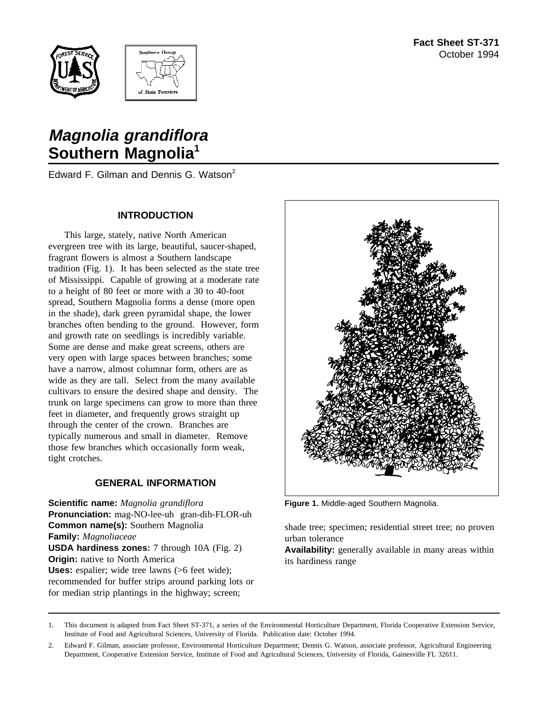



# **Magnolia grandiflora Southern Magnolia<sup>1</sup>**

Edward F. Gilman and Dennis G. Watson<sup>2</sup>

### **INTRODUCTION**

This large, stately, native North American evergreen tree with its large, beautiful, saucer-shaped, fragrant flowers is almost a Southern landscape tradition (Fig. 1). It has been selected as the state tree of Mississippi. Capable of growing at a moderate rate to a height of 80 feet or more with a 30 to 40-foot spread, Southern Magnolia forms a dense (more open in the shade), dark green pyramidal shape, the lower branches often bending to the ground. However, form and growth rate on seedlings is incredibly variable. Some are dense and make great screens, others are very open with large spaces between branches; some have a narrow, almost columnar form, others are as wide as they are tall. Select from the many available cultivars to ensure the desired shape and density. The trunk on large specimens can grow to more than three feet in diameter, and frequently grows straight up through the center of the crown. Branches are typically numerous and small in diameter. Remove those few branches which occasionally form weak, tight crotches.

# **GENERAL INFORMATION**

**Scientific name:** *Magnolia grandiflora* **Pronunciation:** mag-NO-lee-uh gran-dih-FLOR-uh **Common name(s):** Southern Magnolia **Family:** *Magnoliaceae* **USDA hardiness zones:** 7 through 10A (Fig. 2) **Origin:** native to North America **Uses:** espalier; wide tree lawns (>6 feet wide); recommended for buffer strips around parking lots or for median strip plantings in the highway; screen;



**Figure 1.** Middle-aged Southern Magnolia.

shade tree; specimen; residential street tree; no proven urban tolerance

**Availability:** generally available in many areas within its hardiness range

<sup>1.</sup> This document is adapted from Fact Sheet ST-371, a series of the Environmental Horticulture Department, Florida Cooperative Extension Service, Institute of Food and Agricultural Sciences, University of Florida. Publication date: October 1994.

<sup>2.</sup> Edward F. Gilman, associate professor, Environmental Horticulture Department; Dennis G. Watson, associate professor, Agricultural Engineering Department, Cooperative Extension Service, Institute of Food and Agricultural Sciences, University of Florida, Gainesville FL 32611.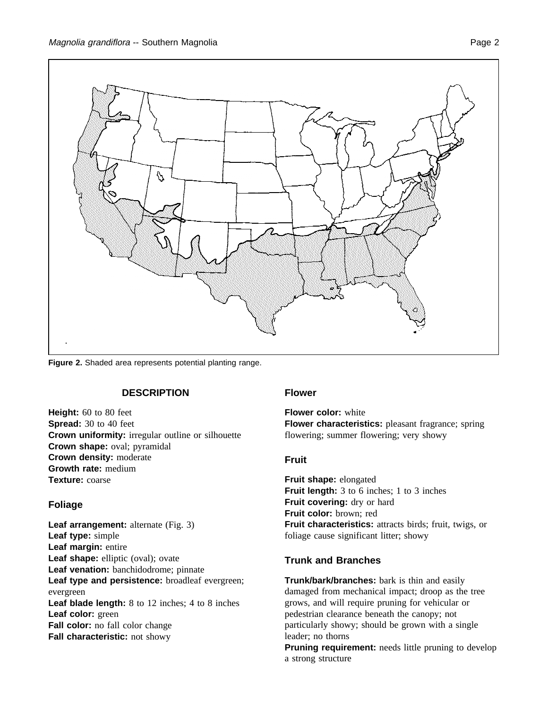

**Figure 2.** Shaded area represents potential planting range.

#### **DESCRIPTION**

**Height:** 60 to 80 feet **Spread:** 30 to 40 feet **Crown uniformity:** irregular outline or silhouette **Crown shape:** oval; pyramidal **Crown density:** moderate **Growth rate:** medium **Texture:** coarse

# **Foliage**

**Leaf arrangement:** alternate (Fig. 3) **Leaf type:** simple **Leaf margin:** entire Leaf shape: elliptic (oval); ovate **Leaf venation:** banchidodrome; pinnate **Leaf type and persistence:** broadleaf evergreen; evergreen **Leaf blade length:** 8 to 12 inches; 4 to 8 inches **Leaf color:** green **Fall color:** no fall color change **Fall characteristic:** not showy

# **Flower**

**Flower color:** white **Flower characteristics:** pleasant fragrance; spring flowering; summer flowering; very showy

# **Fruit**

**Fruit shape:** elongated **Fruit length:** 3 to 6 inches; 1 to 3 inches **Fruit covering:** dry or hard **Fruit color:** brown; red **Fruit characteristics:** attracts birds; fruit, twigs, or foliage cause significant litter; showy

# **Trunk and Branches**

**Trunk/bark/branches:** bark is thin and easily damaged from mechanical impact; droop as the tree grows, and will require pruning for vehicular or pedestrian clearance beneath the canopy; not particularly showy; should be grown with a single leader; no thorns

**Pruning requirement:** needs little pruning to develop a strong structure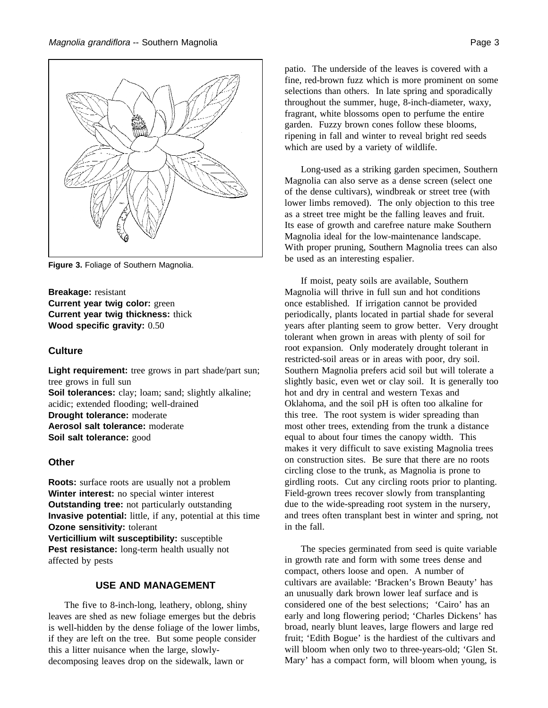

**Figure 3.** Foliage of Southern Magnolia.

**Breakage:** resistant **Current year twig color:** green **Current year twig thickness:** thick **Wood specific gravity:** 0.50

#### **Culture**

**Light requirement:** tree grows in part shade/part sun; tree grows in full sun **Soil tolerances:** clay; loam; sand; slightly alkaline; acidic; extended flooding; well-drained **Drought tolerance:** moderate **Aerosol salt tolerance:** moderate **Soil salt tolerance:** good

#### **Other**

**Roots:** surface roots are usually not a problem **Winter interest:** no special winter interest **Outstanding tree:** not particularly outstanding **Invasive potential:** little, if any, potential at this time **Ozone sensitivity:** tolerant **Verticillium wilt susceptibility:** susceptible **Pest resistance:** long-term health usually not affected by pests

#### **USE AND MANAGEMENT**

The five to 8-inch-long, leathery, oblong, shiny leaves are shed as new foliage emerges but the debris is well-hidden by the dense foliage of the lower limbs, if they are left on the tree. But some people consider this a litter nuisance when the large, slowlydecomposing leaves drop on the sidewalk, lawn or

patio. The underside of the leaves is covered with a fine, red-brown fuzz which is more prominent on some selections than others. In late spring and sporadically throughout the summer, huge, 8-inch-diameter, waxy, fragrant, white blossoms open to perfume the entire garden. Fuzzy brown cones follow these blooms, ripening in fall and winter to reveal bright red seeds which are used by a variety of wildlife.

Long-used as a striking garden specimen, Southern Magnolia can also serve as a dense screen (select one of the dense cultivars), windbreak or street tree (with lower limbs removed). The only objection to this tree as a street tree might be the falling leaves and fruit. Its ease of growth and carefree nature make Southern Magnolia ideal for the low-maintenance landscape. With proper pruning, Southern Magnolia trees can also be used as an interesting espalier.

If moist, peaty soils are available, Southern Magnolia will thrive in full sun and hot conditions once established. If irrigation cannot be provided periodically, plants located in partial shade for several years after planting seem to grow better. Very drought tolerant when grown in areas with plenty of soil for root expansion. Only moderately drought tolerant in restricted-soil areas or in areas with poor, dry soil. Southern Magnolia prefers acid soil but will tolerate a slightly basic, even wet or clay soil. It is generally too hot and dry in central and western Texas and Oklahoma, and the soil pH is often too alkaline for this tree. The root system is wider spreading than most other trees, extending from the trunk a distance equal to about four times the canopy width. This makes it very difficult to save existing Magnolia trees on construction sites. Be sure that there are no roots circling close to the trunk, as Magnolia is prone to girdling roots. Cut any circling roots prior to planting. Field-grown trees recover slowly from transplanting due to the wide-spreading root system in the nursery, and trees often transplant best in winter and spring, not in the fall.

The species germinated from seed is quite variable in growth rate and form with some trees dense and compact, others loose and open. A number of cultivars are available: 'Bracken's Brown Beauty' has an unusually dark brown lower leaf surface and is considered one of the best selections; 'Cairo' has an early and long flowering period; 'Charles Dickens' has broad, nearly blunt leaves, large flowers and large red fruit; 'Edith Bogue' is the hardiest of the cultivars and will bloom when only two to three-years-old; 'Glen St. Mary' has a compact form, will bloom when young, is